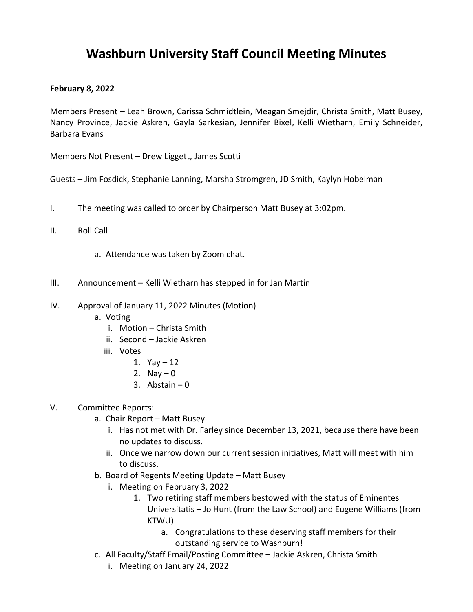## **Washburn University Staff Council Meeting Minutes**

## **February 8, 2022**

Members Present – Leah Brown, Carissa Schmidtlein, Meagan Smejdir, Christa Smith, Matt Busey, Nancy Province, Jackie Askren, Gayla Sarkesian, Jennifer Bixel, Kelli Wietharn, Emily Schneider, Barbara Evans

Members Not Present – Drew Liggett, James Scotti

Guests – Jim Fosdick, Stephanie Lanning, Marsha Stromgren, JD Smith, Kaylyn Hobelman

- I. The meeting was called to order by Chairperson Matt Busey at 3:02pm.
- II. Roll Call
	- a. Attendance was taken by Zoom chat.
- III. Announcement Kelli Wietharn has stepped in for Jan Martin
- IV. Approval of January 11, 2022 Minutes (Motion)
	- a. Voting
		- i. Motion Christa Smith
		- ii. Second Jackie Askren
		- iii. Votes
			- 1.  $Yay 12$
			- 2. Nay  $-0$
			- 3. Abstain  $-0$
- V. Committee Reports:
	- a. Chair Report Matt Busey
		- i. Has not met with Dr. Farley since December 13, 2021, because there have been no updates to discuss.
		- ii. Once we narrow down our current session initiatives, Matt will meet with him to discuss.
	- b. Board of Regents Meeting Update Matt Busey
		- i. Meeting on February 3, 2022
			- 1. Two retiring staff members bestowed with the status of Eminentes Universitatis – Jo Hunt (from the Law School) and Eugene Williams (from KTWU)
				- a. Congratulations to these deserving staff members for their outstanding service to Washburn!
	- c. All Faculty/Staff Email/Posting Committee Jackie Askren, Christa Smith
		- i. Meeting on January 24, 2022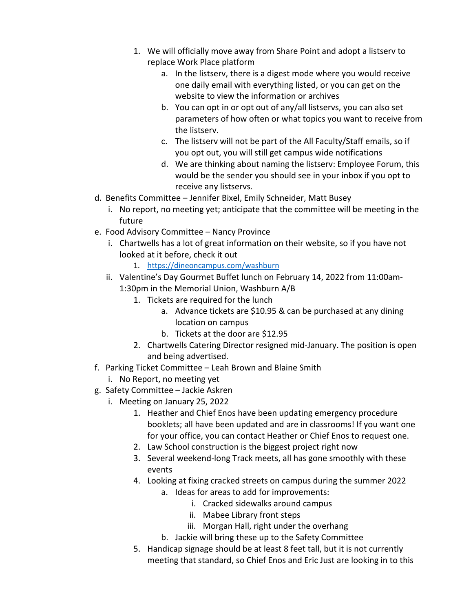- 1. We will officially move away from Share Point and adopt a listserv to replace Work Place platform
	- a. In the listserv, there is a digest mode where you would receive one daily email with everything listed, or you can get on the website to view the information or archives
	- b. You can opt in or opt out of any/all listservs, you can also set parameters of how often or what topics you want to receive from the listserv.
	- c. The listserv will not be part of the All Faculty/Staff emails, so if you opt out, you will still get campus wide notifications
	- d. We are thinking about naming the listserv: Employee Forum, this would be the sender you should see in your inbox if you opt to receive any listservs.
- d. Benefits Committee Jennifer Bixel, Emily Schneider, Matt Busey
	- i. No report, no meeting yet; anticipate that the committee will be meeting in the future
- e. Food Advisory Committee Nancy Province
	- i. Chartwells has a lot of great information on their website, so if you have not looked at it before, check it out
		- 1. https://dineoncampus.com/washburn
	- ii. Valentine's Day Gourmet Buffet lunch on February 14, 2022 from 11:00am-1:30pm in the Memorial Union, Washburn A/B
		- 1. Tickets are required for the lunch
			- a. Advance tickets are \$10.95 & can be purchased at any dining location on campus
			- b. Tickets at the door are \$12.95
		- 2. Chartwells Catering Director resigned mid-January. The position is open and being advertised.
- f. Parking Ticket Committee Leah Brown and Blaine Smith
	- i. No Report, no meeting yet
- g. Safety Committee Jackie Askren
	- i. Meeting on January 25, 2022
		- 1. Heather and Chief Enos have been updating emergency procedure booklets; all have been updated and are in classrooms! If you want one for your office, you can contact Heather or Chief Enos to request one.
		- 2. Law School construction is the biggest project right now
		- 3. Several weekend-long Track meets, all has gone smoothly with these events
		- 4. Looking at fixing cracked streets on campus during the summer 2022
			- a. Ideas for areas to add for improvements:
				- i. Cracked sidewalks around campus
				- ii. Mabee Library front steps
				- iii. Morgan Hall, right under the overhang
			- b. Jackie will bring these up to the Safety Committee
		- 5. Handicap signage should be at least 8 feet tall, but it is not currently meeting that standard, so Chief Enos and Eric Just are looking in to this